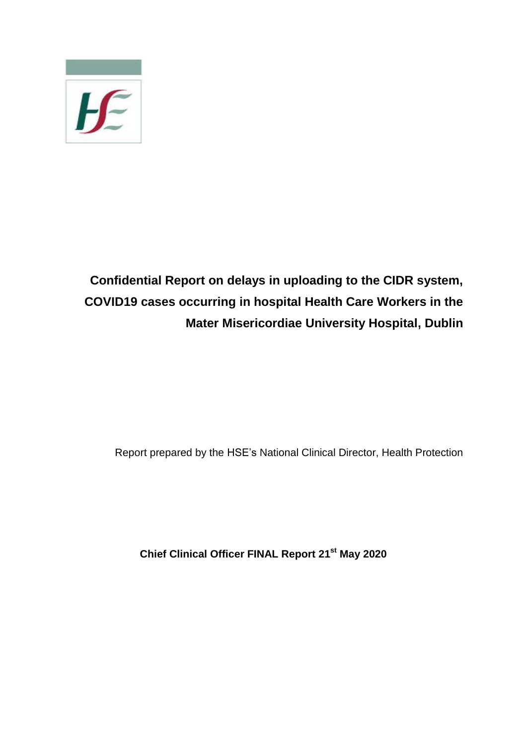

**Confidential Report on delays in uploading to the CIDR system, COVID19 cases occurring in hospital Health Care Workers in the Mater Misericordiae University Hospital, Dublin**

Report prepared by the HSE's National Clinical Director, Health Protection

**Chief Clinical Officer FINAL Report 21st May 2020**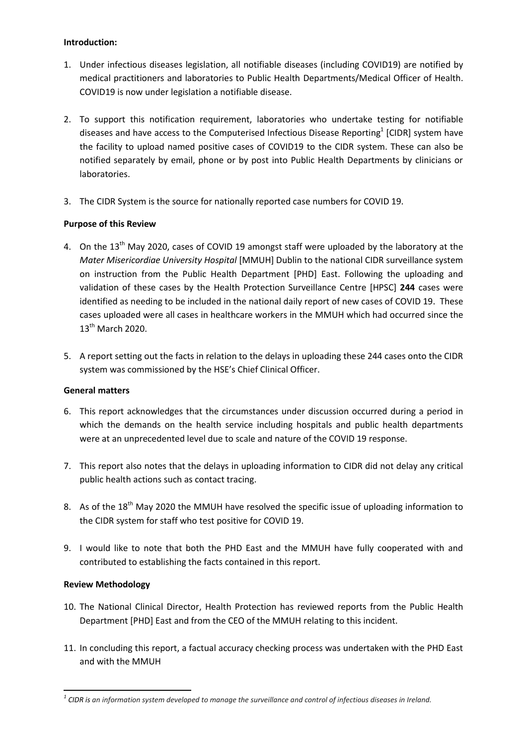## **Introduction:**

- 1. Under infectious diseases legislation, all notifiable diseases (including COVID19) are notified by medical practitioners and laboratories to Public Health Departments/Medical Officer of Health. COVID19 is now under legislation a notifiable disease.
- 2. To support this notification requirement, laboratories who undertake testing for notifiable diseases and have access to the Computerised Infectious Disease Reporting<sup>1</sup> [CIDR] system have the facility to upload named positive cases of COVID19 to the CIDR system. These can also be notified separately by email, phone or by post into Public Health Departments by clinicians or laboratories.
- 3. The CIDR System is the source for nationally reported case numbers for COVID 19.

# **Purpose of this Review**

- 4. On the 13<sup>th</sup> May 2020, cases of COVID 19 amongst staff were uploaded by the laboratory at the *Mater Misericordiae University Hospital* [MMUH] Dublin to the national CIDR surveillance system on instruction from the Public Health Department [PHD] East. Following the uploading and validation of these cases by the Health Protection Surveillance Centre [HPSC] **244** cases were identified as needing to be included in the national daily report of new cases of COVID 19. These cases uploaded were all cases in healthcare workers in the MMUH which had occurred since the 13th March 2020.
- 5. A report setting out the facts in relation to the delays in uploading these 244 cases onto the CIDR system was commissioned by the HSE's Chief Clinical Officer.

# **General matters**

- 6. This report acknowledges that the circumstances under discussion occurred during a period in which the demands on the health service including hospitals and public health departments were at an unprecedented level due to scale and nature of the COVID 19 response.
- 7. This report also notes that the delays in uploading information to CIDR did not delay any critical public health actions such as contact tracing.
- 8. As of the 18<sup>th</sup> May 2020 the MMUH have resolved the specific issue of uploading information to the CIDR system for staff who test positive for COVID 19.
- 9. I would like to note that both the PHD East and the MMUH have fully cooperated with and contributed to establishing the facts contained in this report.

# **Review Methodology**

**.** 

- 10. The National Clinical Director, Health Protection has reviewed reports from the Public Health Department [PHD] East and from the CEO of the MMUH relating to this incident.
- 11. In concluding this report, a factual accuracy checking process was undertaken with the PHD East and with the MMUH

*<sup>1</sup> CIDR is an information system developed to manage the surveillance and control of infectious diseases in Ireland.*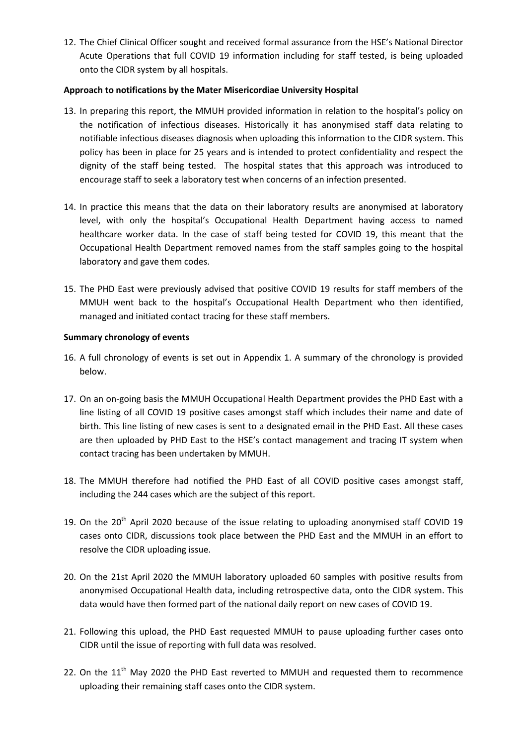12. The Chief Clinical Officer sought and received formal assurance from the HSE's National Director Acute Operations that full COVID 19 information including for staff tested, is being uploaded onto the CIDR system by all hospitals.

## **Approach to notifications by the Mater Misericordiae University Hospital**

- 13. In preparing this report, the MMUH provided information in relation to the hospital's policy on the notification of infectious diseases. Historically it has anonymised staff data relating to notifiable infectious diseases diagnosis when uploading this information to the CIDR system. This policy has been in place for 25 years and is intended to protect confidentiality and respect the dignity of the staff being tested. The hospital states that this approach was introduced to encourage staff to seek a laboratory test when concerns of an infection presented.
- 14. In practice this means that the data on their laboratory results are anonymised at laboratory level, with only the hospital's Occupational Health Department having access to named healthcare worker data. In the case of staff being tested for COVID 19, this meant that the Occupational Health Department removed names from the staff samples going to the hospital laboratory and gave them codes.
- 15. The PHD East were previously advised that positive COVID 19 results for staff members of the MMUH went back to the hospital's Occupational Health Department who then identified, managed and initiated contact tracing for these staff members.

#### **Summary chronology of events**

- 16. A full chronology of events is set out in Appendix 1. A summary of the chronology is provided below.
- 17. On an on-going basis the MMUH Occupational Health Department provides the PHD East with a line listing of all COVID 19 positive cases amongst staff which includes their name and date of birth. This line listing of new cases is sent to a designated email in the PHD East. All these cases are then uploaded by PHD East to the HSE's contact management and tracing IT system when contact tracing has been undertaken by MMUH.
- 18. The MMUH therefore had notified the PHD East of all COVID positive cases amongst staff, including the 244 cases which are the subject of this report.
- 19. On the 20<sup>th</sup> April 2020 because of the issue relating to uploading anonymised staff COVID 19 cases onto CIDR, discussions took place between the PHD East and the MMUH in an effort to resolve the CIDR uploading issue.
- 20. On the 21st April 2020 the MMUH laboratory uploaded 60 samples with positive results from anonymised Occupational Health data, including retrospective data, onto the CIDR system. This data would have then formed part of the national daily report on new cases of COVID 19.
- 21. Following this upload, the PHD East requested MMUH to pause uploading further cases onto CIDR until the issue of reporting with full data was resolved.
- 22. On the  $11<sup>th</sup>$  May 2020 the PHD East reverted to MMUH and requested them to recommence uploading their remaining staff cases onto the CIDR system.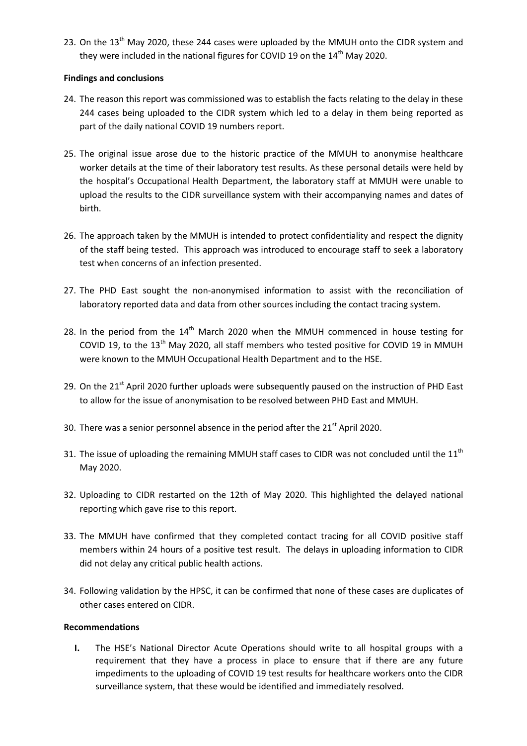23. On the 13<sup>th</sup> May 2020, these 244 cases were uploaded by the MMUH onto the CIDR system and they were included in the national figures for COVID 19 on the 14<sup>th</sup> May 2020.

#### **Findings and conclusions**

- 24. The reason this report was commissioned was to establish the facts relating to the delay in these 244 cases being uploaded to the CIDR system which led to a delay in them being reported as part of the daily national COVID 19 numbers report.
- 25. The original issue arose due to the historic practice of the MMUH to anonymise healthcare worker details at the time of their laboratory test results. As these personal details were held by the hospital's Occupational Health Department, the laboratory staff at MMUH were unable to upload the results to the CIDR surveillance system with their accompanying names and dates of birth.
- 26. The approach taken by the MMUH is intended to protect confidentiality and respect the dignity of the staff being tested. This approach was introduced to encourage staff to seek a laboratory test when concerns of an infection presented.
- 27. The PHD East sought the non-anonymised information to assist with the reconciliation of laboratory reported data and data from other sources including the contact tracing system.
- 28. In the period from the 14<sup>th</sup> March 2020 when the MMUH commenced in house testing for COVID 19, to the 13<sup>th</sup> May 2020, all staff members who tested positive for COVID 19 in MMUH were known to the MMUH Occupational Health Department and to the HSE.
- 29. On the 21<sup>st</sup> April 2020 further uploads were subsequently paused on the instruction of PHD East to allow for the issue of anonymisation to be resolved between PHD East and MMUH.
- 30. There was a senior personnel absence in the period after the  $21<sup>st</sup>$  April 2020.
- 31. The issue of uploading the remaining MMUH staff cases to CIDR was not concluded until the 11<sup>th</sup> May 2020.
- 32. Uploading to CIDR restarted on the 12th of May 2020. This highlighted the delayed national reporting which gave rise to this report.
- 33. The MMUH have confirmed that they completed contact tracing for all COVID positive staff members within 24 hours of a positive test result. The delays in uploading information to CIDR did not delay any critical public health actions.
- 34. Following validation by the HPSC, it can be confirmed that none of these cases are duplicates of other cases entered on CIDR.

# **Recommendations**

**I.** The HSE's National Director Acute Operations should write to all hospital groups with a requirement that they have a process in place to ensure that if there are any future impediments to the uploading of COVID 19 test results for healthcare workers onto the CIDR surveillance system, that these would be identified and immediately resolved.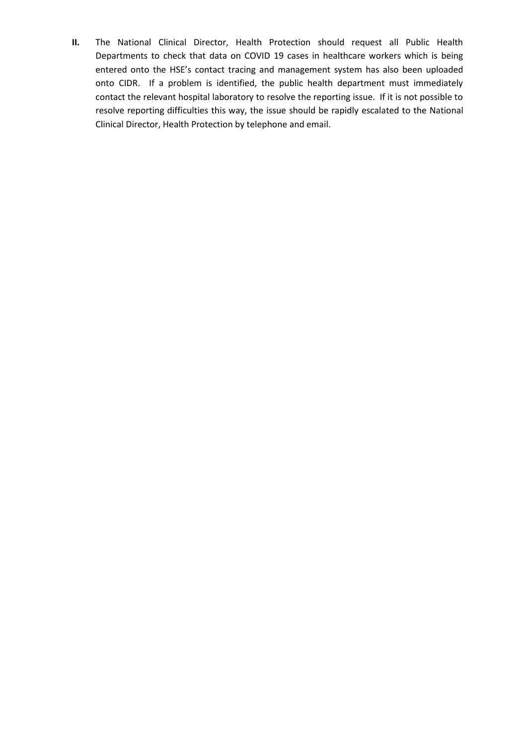**II.** The National Clinical Director, Health Protection should request all Public Health Departments to check that data on COVID 19 cases in healthcare workers which is being entered onto the HSE's contact tracing and management system has also been uploaded onto CIDR. If a problem is identified, the public health department must immediately contact the relevant hospital laboratory to resolve the reporting issue. If it is not possible to resolve reporting difficulties this way, the issue should be rapidly escalated to the National Clinical Director, Health Protection by telephone and email.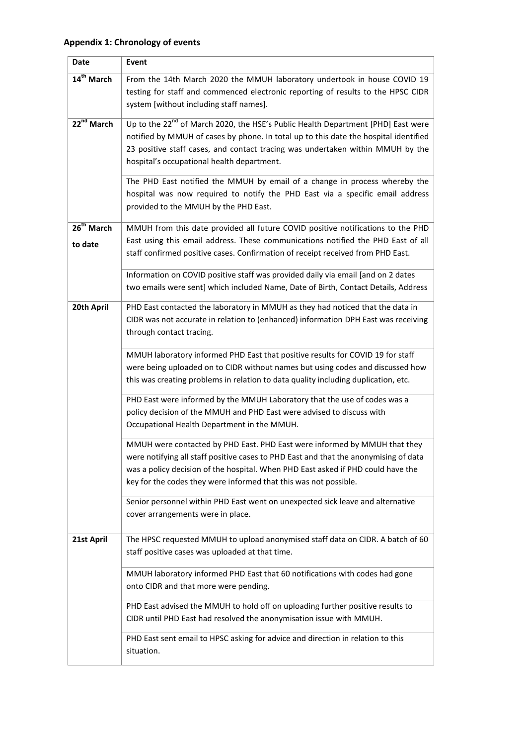# **Appendix 1: Chronology of events**

| <b>Date</b>                       | Event                                                                                                                                                                                                                                                                                                                                      |
|-----------------------------------|--------------------------------------------------------------------------------------------------------------------------------------------------------------------------------------------------------------------------------------------------------------------------------------------------------------------------------------------|
| 14 <sup>th</sup> March            | From the 14th March 2020 the MMUH laboratory undertook in house COVID 19<br>testing for staff and commenced electronic reporting of results to the HPSC CIDR<br>system [without including staff names].                                                                                                                                    |
| $22^{nd}$ March                   | Up to the 22 <sup>nd</sup> of March 2020, the HSE's Public Health Department [PHD] East were<br>notified by MMUH of cases by phone. In total up to this date the hospital identified<br>23 positive staff cases, and contact tracing was undertaken within MMUH by the<br>hospital's occupational health department.                       |
|                                   | The PHD East notified the MMUH by email of a change in process whereby the<br>hospital was now required to notify the PHD East via a specific email address<br>provided to the MMUH by the PHD East.                                                                                                                                       |
| 26 <sup>th</sup> March<br>to date | MMUH from this date provided all future COVID positive notifications to the PHD<br>East using this email address. These communications notified the PHD East of all<br>staff confirmed positive cases. Confirmation of receipt received from PHD East.<br>Information on COVID positive staff was provided daily via email [and on 2 dates |
|                                   | two emails were sent] which included Name, Date of Birth, Contact Details, Address                                                                                                                                                                                                                                                         |
| 20th April                        | PHD East contacted the laboratory in MMUH as they had noticed that the data in<br>CIDR was not accurate in relation to (enhanced) information DPH East was receiving<br>through contact tracing.                                                                                                                                           |
|                                   | MMUH laboratory informed PHD East that positive results for COVID 19 for staff<br>were being uploaded on to CIDR without names but using codes and discussed how<br>this was creating problems in relation to data quality including duplication, etc.                                                                                     |
|                                   | PHD East were informed by the MMUH Laboratory that the use of codes was a<br>policy decision of the MMUH and PHD East were advised to discuss with<br>Occupational Health Department in the MMUH.                                                                                                                                          |
|                                   | MMUH were contacted by PHD East. PHD East were informed by MMUH that they<br>were notifying all staff positive cases to PHD East and that the anonymising of data<br>was a policy decision of the hospital. When PHD East asked if PHD could have the<br>key for the codes they were informed that this was not possible.                  |
|                                   | Senior personnel within PHD East went on unexpected sick leave and alternative<br>cover arrangements were in place.                                                                                                                                                                                                                        |
| 21st April                        | The HPSC requested MMUH to upload anonymised staff data on CIDR. A batch of 60<br>staff positive cases was uploaded at that time.                                                                                                                                                                                                          |
|                                   | MMUH laboratory informed PHD East that 60 notifications with codes had gone<br>onto CIDR and that more were pending.                                                                                                                                                                                                                       |
|                                   | PHD East advised the MMUH to hold off on uploading further positive results to<br>CIDR until PHD East had resolved the anonymisation issue with MMUH.                                                                                                                                                                                      |
|                                   | PHD East sent email to HPSC asking for advice and direction in relation to this<br>situation.                                                                                                                                                                                                                                              |